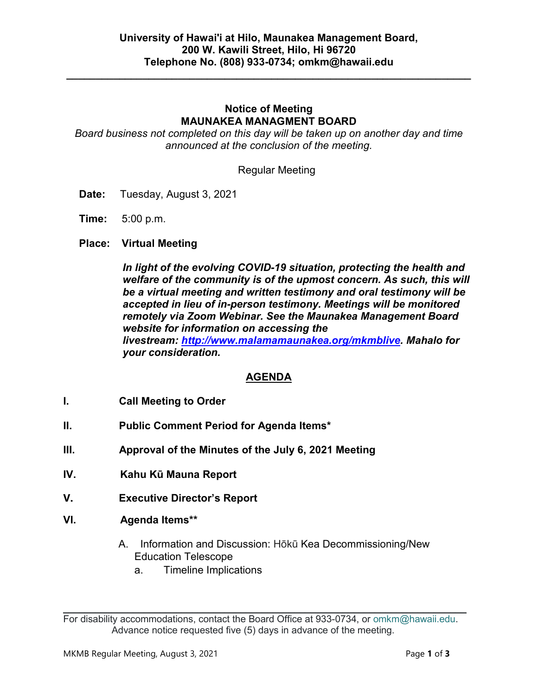**\_\_\_\_\_\_\_\_\_\_\_\_\_\_\_\_\_\_\_\_\_\_\_\_\_\_\_\_\_\_\_\_\_\_\_\_\_\_\_\_\_\_\_\_\_\_\_\_\_\_\_\_\_\_\_\_\_\_\_\_\_\_\_\_\_\_\_\_\_**

### **Notice of Meeting MAUNAKEA MANAGMENT BOARD**

*Board business not completed on this day will be taken up on another day and time announced at the conclusion of the meeting.*

Regular Meeting

- **Date:** Tuesday, August 3, 2021
- **Time:** 5:00 p.m.
- **Place: Virtual Meeting**

*In light of the evolving COVID-19 situation, protecting the health and welfare of the community is of the upmost concern. As such, this will be a virtual meeting and written testimony and oral testimony will be accepted in lieu of in-person testimony. Meetings will be monitored remotely via Zoom Webinar. See the Maunakea Management Board website for information on accessing the livestream: [http://www.malamamaunakea.org/mkmblive.](http://www.malamamaunakea.org/mkmblive) Mahalo for your consideration.*

### **AGENDA**

- **I. Call Meeting to Order**
- **II. Public Comment Period for Agenda Items\***
- **III. Approval of the Minutes of the July 6, 2021 Meeting**
- **IV. Kahu Kū Mauna Report**
- **V. Executive Director's Report**
- **VI. Agenda Items\*\***
	- A. Information and Discussion: Hōkū Kea Decommissioning/New Education Telescope
		- a. Timeline Implications

 $\mathcal{L}_\text{max} = \mathcal{L}_\text{max} = \mathcal{L}_\text{max} = \mathcal{L}_\text{max} = \mathcal{L}_\text{max} = \mathcal{L}_\text{max} = \mathcal{L}_\text{max} = \mathcal{L}_\text{max} = \mathcal{L}_\text{max} = \mathcal{L}_\text{max} = \mathcal{L}_\text{max} = \mathcal{L}_\text{max} = \mathcal{L}_\text{max} = \mathcal{L}_\text{max} = \mathcal{L}_\text{max} = \mathcal{L}_\text{max} = \mathcal{L}_\text{max} = \mathcal{L}_\text{max} = \mathcal{$ For disability accommodations, contact the Board Office at 933-0734, or [omkm@hawaii.edu.](mailto:OMKM@hawaii.edu) Advance notice requested five (5) days in advance of the meeting.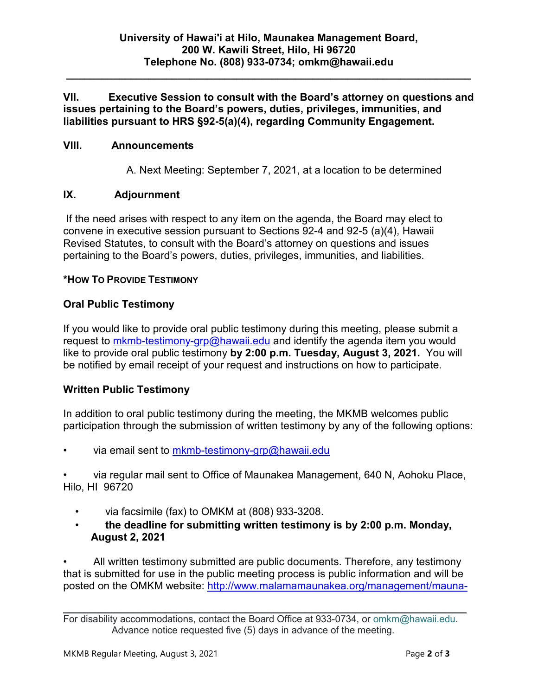**\_\_\_\_\_\_\_\_\_\_\_\_\_\_\_\_\_\_\_\_\_\_\_\_\_\_\_\_\_\_\_\_\_\_\_\_\_\_\_\_\_\_\_\_\_\_\_\_\_\_\_\_\_\_\_\_\_\_\_\_\_\_\_\_\_\_\_\_\_**

**VII. Executive Session to consult with the Board's attorney on questions and issues pertaining to the Board's powers, duties, privileges, immunities, and liabilities pursuant to HRS §92-5(a)(4), regarding Community Engagement.**

### **VIII. Announcements**

A. Next Meeting: September 7, 2021, at a location to be determined

## **IX. Adjournment**

If the need arises with respect to any item on the agenda, the Board may elect to convene in executive session pursuant to Sections 92-4 and 92-5 (a)(4), Hawaii Revised Statutes, to consult with the Board's attorney on questions and issues pertaining to the Board's powers, duties, privileges, immunities, and liabilities.

### **\*HOW TO PROVIDE TESTIMONY**

## **Oral Public Testimony**

If you would like to provide oral public testimony during this meeting, please submit a request to [mkmb-testimony-grp@hawaii.edu](mailto:mkmb-testimony-grp@hawaii.edu) and identify the agenda item you would like to provide oral public testimony **by 2:00 p.m. Tuesday, August 3, 2021.** You will be notified by email receipt of your request and instructions on how to participate.

# **Written Public Testimony**

In addition to oral public testimony during the meeting, the MKMB welcomes public participation through the submission of written testimony by any of the following options:

via email sent to [mkmb-testimony-grp@hawaii.edu](mailto:mkmb-testimony-grp@hawaii.edu)

• via regular mail sent to Office of Maunakea Management, 640 N, Aohoku Place, Hilo, HI 96720

- via facsimile (fax) to OMKM at (808) 933-3208.
- **the deadline for submitting written testimony is by 2:00 p.m. Monday, August 2, 2021**

• All written testimony submitted are public documents. Therefore, any testimony that is submitted for use in the public meeting process is public information and will be posted on the OMKM website: http://www.malamamaunakea.org/management/mauna-

 $\mathcal{L}_\text{max} = \mathcal{L}_\text{max} = \mathcal{L}_\text{max} = \mathcal{L}_\text{max} = \mathcal{L}_\text{max} = \mathcal{L}_\text{max} = \mathcal{L}_\text{max} = \mathcal{L}_\text{max} = \mathcal{L}_\text{max} = \mathcal{L}_\text{max} = \mathcal{L}_\text{max} = \mathcal{L}_\text{max} = \mathcal{L}_\text{max} = \mathcal{L}_\text{max} = \mathcal{L}_\text{max} = \mathcal{L}_\text{max} = \mathcal{L}_\text{max} = \mathcal{L}_\text{max} = \mathcal{$ For disability accommodations, contact the Board Office at 933-0734, or [omkm@hawaii.edu.](mailto:OMKM@hawaii.edu) Advance notice requested five (5) days in advance of the meeting.